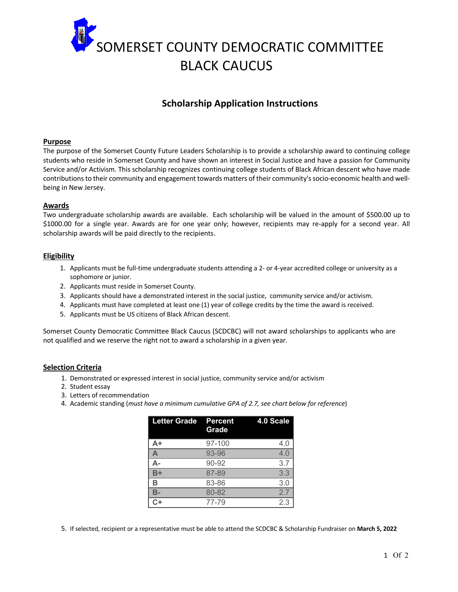

# **Scholarship Application Instructions**

#### **Purpose**

The purpose of the Somerset County Future Leaders Scholarship is to provide a scholarship award to continuing college students who reside in Somerset County and have shown an interest in Social Justice and have a passion for Community Service and/or Activism. This scholarship recognizes continuing college students of Black African descent who have made contributions to their community and engagement towards matters of their community's socio-economic health and wellbeing in New Jersey.

### **Awards**

Two undergraduate scholarship awards are available. Each scholarship will be valued in the amount of \$500.00 up to \$1000.00 for a single year. Awards are for one year only; however, recipients may re-apply for a second year. All scholarship awards will be paid directly to the recipients.

### **Eligibility**

- 1. Applicants must be full-time undergraduate students attending a 2- or 4-year accredited college or university as a sophomore or junior.
- 2. Applicants must reside in Somerset County.
- 3. Applicants should have a demonstrated interest in the social justice, community service and/or activism.
- 4. Applicants must have completed at least one (1) year of college credits by the time the award is received.
- 5. Applicants must be US citizens of Black African descent.

Somerset County Democratic Committee Black Caucus (SCDCBC) will not award scholarships to applicants who are not qualified and we reserve the right not to award a scholarship in a given year.

# **Selection Criteria**

- 1. Demonstrated or expressed interest in social justice, community service and/or activism
- 2. Student essay
- 3. Letters of recommendation
- 4. Academic standing (*must have a minimum cumulative GPA of 2.7, see chart below for reference*)

| <b>Letter Grade</b> | <b>Percent</b><br>Grade | 4.0 Scale |
|---------------------|-------------------------|-----------|
| A+                  | 97-100                  | 4.0       |
|                     | 93-96                   | 4.0       |
|                     | 90-92                   | 3.7       |
| B+                  | 87-89                   | 3.3       |
| в                   | 83-86                   | 3.0       |
|                     | 80-82                   | 2.7       |
|                     | 77-79                   | 2.3       |

5. If selected, recipient or a representative must be able to attend the SCDCBC & Scholarship Fundraiser on **March 5, 2022**